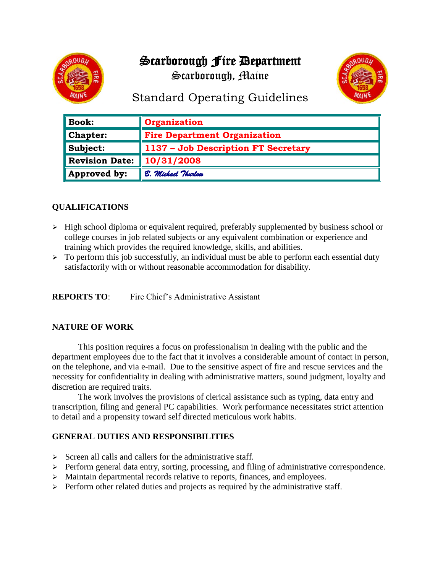# Scarborough Fire Department

Scarborough, Maine



# Standard Operating Guidelines

| $\parallel$ Book:        | Organization                        |
|--------------------------|-------------------------------------|
| $\blacksquare$ Chapter:  | <b>Fire Department Organization</b> |
| $\ $ Subject:            | 1137 - Job Description FT Secretary |
| Revision Date:           | $\ 10/31/2008$                      |
| $\parallel$ Approved by: | B. Michael Thurlow                  |

# **QUALIFICATIONS**

- $\triangleright$  High school diploma or equivalent required, preferably supplemented by business school or college courses in job related subjects or any equivalent combination or experience and training which provides the required knowledge, skills, and abilities.
- $\triangleright$  To perform this job successfully, an individual must be able to perform each essential duty satisfactorily with or without reasonable accommodation for disability.

**REPORTS TO:** Fire Chief's Administrative Assistant

## **NATURE OF WORK**

This position requires a focus on professionalism in dealing with the public and the department employees due to the fact that it involves a considerable amount of contact in person, on the telephone, and via e-mail. Due to the sensitive aspect of fire and rescue services and the necessity for confidentiality in dealing with administrative matters, sound judgment, loyalty and discretion are required traits.

The work involves the provisions of clerical assistance such as typing, data entry and transcription, filing and general PC capabilities. Work performance necessitates strict attention to detail and a propensity toward self directed meticulous work habits.

#### **GENERAL DUTIES AND RESPONSIBILITIES**

- $\triangleright$  Screen all calls and callers for the administrative staff.
- $\triangleright$  Perform general data entry, sorting, processing, and filing of administrative correspondence.
- $\triangleright$  Maintain departmental records relative to reports, finances, and employees.
- ➢ Perform other related duties and projects as required by the administrative staff.